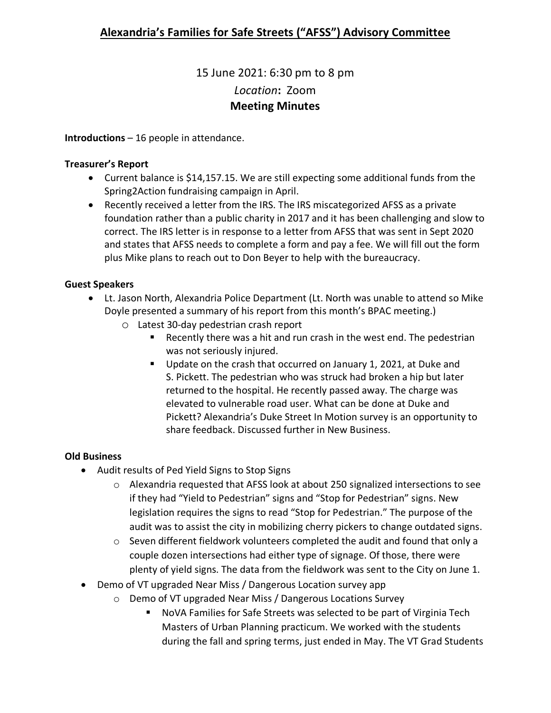# 15 June 2021: 6:30 pm to 8 pm *Location***:** Zoom **Meeting Minutes**

**Introductions** – 16 people in attendance.

### **Treasurer's Report**

- Current balance is \$14,157.15. We are still expecting some additional funds from the Spring2Action fundraising campaign in April.
- Recently received a letter from the IRS. The IRS miscategorized AFSS as a private foundation rather than a public charity in 2017 and it has been challenging and slow to correct. The IRS letter is in response to a letter from AFSS that was sent in Sept 2020 and states that AFSS needs to complete a form and pay a fee. We will fill out the form plus Mike plans to reach out to Don Beyer to help with the bureaucracy.

## **Guest Speakers**

- Lt. Jason North, Alexandria Police Department (Lt. North was unable to attend so Mike Doyle presented a summary of his report from this month's BPAC meeting.)
	- o Latest 30-day pedestrian crash report
		- Recently there was a hit and run crash in the west end. The pedestrian was not seriously injured.
		- Update on the crash that occurred on January 1, 2021, at Duke and S. Pickett. The pedestrian who was struck had broken a hip but later returned to the hospital. He recently passed away. The charge was elevated to vulnerable road user. What can be done at Duke and Pickett? Alexandria's Duke Street In Motion survey is an opportunity to share feedback. Discussed further in New Business.

## **Old Business**

- Audit results of Ped Yield Signs to Stop Signs
	- o Alexandria requested that AFSS look at about 250 signalized intersections to see if they had "Yield to Pedestrian" signs and "Stop for Pedestrian" signs. New legislation requires the signs to read "Stop for Pedestrian." The purpose of the audit was to assist the city in mobilizing cherry pickers to change outdated signs.
	- $\circ$  Seven different fieldwork volunteers completed the audit and found that only a couple dozen intersections had either type of signage. Of those, there were plenty of yield signs. The data from the fieldwork was sent to the City on June 1.
- Demo of VT upgraded Near Miss / Dangerous Location survey app
	- o Demo of VT upgraded Near Miss / Dangerous Locations Survey
		- NoVA Families for Safe Streets was selected to be part of Virginia Tech Masters of Urban Planning practicum. We worked with the students during the fall and spring terms, just ended in May. The VT Grad Students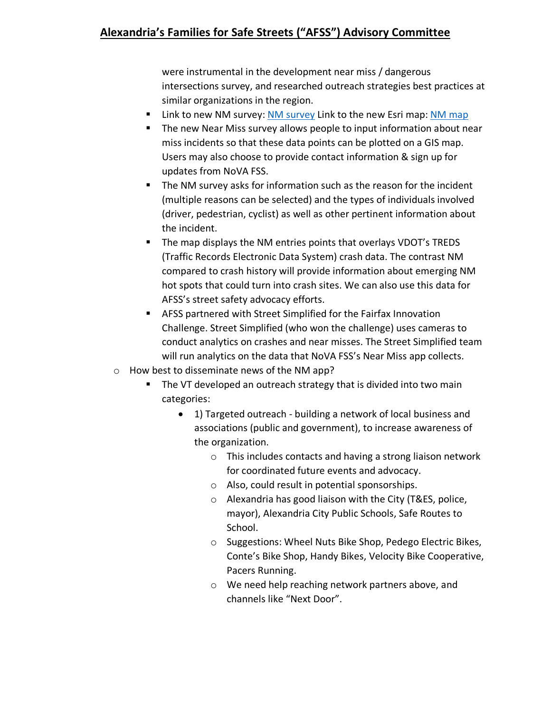were instrumental in the development near miss / dangerous intersections survey, and researched outreach strategies best practices at similar organizations in the region.

- Link to new NM survey: [NM survey](https://survey123.arcgis.com/share/a6dfdc029269422fa0dcb37e61cdd76f) Link to the new Esri map: [NM map](https://www.arcgis.com/apps/dashboards/5169e45e4b364614a0e1afeef8ea6c57)
- The new Near Miss survey allows people to input information about near miss incidents so that these data points can be plotted on a GIS map. Users may also choose to provide contact information & sign up for updates from NoVA FSS.
- The NM survey asks for information such as the reason for the incident (multiple reasons can be selected) and the types of individuals involved (driver, pedestrian, cyclist) as well as other pertinent information about the incident.
- **The map displays the NM entries points that overlays VDOT's TREDS** (Traffic Records Electronic Data System) crash data. The contrast NM compared to crash history will provide information about emerging NM hot spots that could turn into crash sites. We can also use this data for AFSS's street safety advocacy efforts.
- AFSS partnered with Street Simplified for the Fairfax Innovation Challenge. Street Simplified (who won the challenge) uses cameras to conduct analytics on crashes and near misses. The Street Simplified team will run analytics on the data that NoVA FSS's Near Miss app collects.
- o How best to disseminate news of the NM app?
	- The VT developed an outreach strategy that is divided into two main categories:
		- 1) Targeted outreach building a network of local business and associations (public and government), to increase awareness of the organization.
			- o This includes contacts and having a strong liaison network for coordinated future events and advocacy.
			- o Also, could result in potential sponsorships.
			- o Alexandria has good liaison with the City (T&ES, police, mayor), Alexandria City Public Schools, Safe Routes to School.
			- o Suggestions: Wheel Nuts Bike Shop, Pedego Electric Bikes, Conte's Bike Shop, Handy Bikes, Velocity Bike Cooperative, Pacers Running.
			- o We need help reaching network partners above, and channels like "Next Door".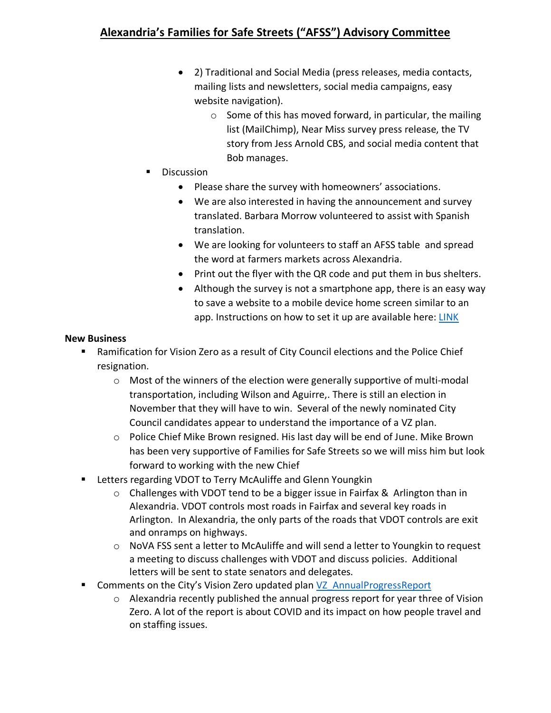## **Alexandria's Families for Safe Streets ("AFSS") Advisory Committee**

- 2) Traditional and Social Media (press releases, media contacts, mailing lists and newsletters, social media campaigns, easy website navigation).
	- $\circ$  Some of this has moved forward, in particular, the mailing list (MailChimp), Near Miss survey press release, the TV story from Jess Arnold CBS, and social media content that Bob manages.
- Discussion
	- Please share the survey with homeowners' associations.
	- We are also interested in having the announcement and survey translated. Barbara Morrow volunteered to assist with Spanish translation.
	- We are looking for volunteers to staff an AFSS table and spread the word at farmers markets across Alexandria.
	- Print out the flyer with the QR code and put them in bus shelters.
	- Although the survey is not a smartphone app, there is an easy way to save a website to a mobile device home screen similar to an app. Instructions on how to set it up are available here: [LINK](https://natomasunified.org/kb/add-website-to-mobile-device-home-screen/)

#### **New Business**

- Ramification for Vision Zero as a result of City Council elections and the Police Chief resignation.
	- $\circ$  Most of the winners of the election were generally supportive of multi-modal transportation, including Wilson and Aguirre,. There is still an election in November that they will have to win. Several of the newly nominated City Council candidates appear to understand the importance of a VZ plan.
	- $\circ$  Police Chief Mike Brown resigned. His last day will be end of June. Mike Brown has been very supportive of Families for Safe Streets so we will miss him but look forward to working with the new Chief
- **E** Letters regarding VDOT to Terry McAuliffe and Glenn Youngkin
	- $\circ$  Challenges with VDOT tend to be a bigger issue in Fairfax & Arlington than in Alexandria. VDOT controls most roads in Fairfax and several key roads in Arlington. In Alexandria, the only parts of the roads that VDOT controls are exit and onramps on highways.
	- $\circ$  NoVA FSS sent a letter to McAuliffe and will send a letter to Youngkin to request a meeting to discuss challenges with VDOT and discuss policies. Additional letters will be sent to state senators and delegates.
- Comments on the City's Vision Zero updated plan [VZ\\_AnnualProgressReport](https://www.alexandriava.gov/uploadedFiles/tes/info/VZ_AnnualProgressReport_Yr3CY2020%20combined.pdf)
	- o Alexandria recently published the annual progress report for year three of Vision Zero. A lot of the report is about COVID and its impact on how people travel and on staffing issues.